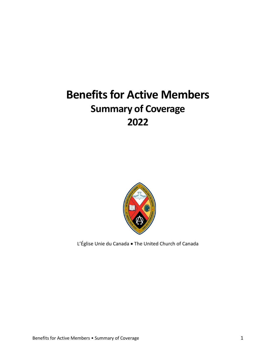# **Benefits for Active Members Summary of Coverage 2022**



L'Église Unie du Canada • The United Church of Canada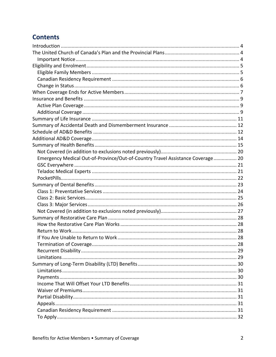# **Contents**

| Emergency Medical Out-of-Province/Out-of-Country Travel Assistance Coverage 20 |  |
|--------------------------------------------------------------------------------|--|
|                                                                                |  |
|                                                                                |  |
|                                                                                |  |
|                                                                                |  |
|                                                                                |  |
|                                                                                |  |
|                                                                                |  |
|                                                                                |  |
|                                                                                |  |
|                                                                                |  |
|                                                                                |  |
|                                                                                |  |
|                                                                                |  |
|                                                                                |  |
|                                                                                |  |
|                                                                                |  |
|                                                                                |  |
|                                                                                |  |
|                                                                                |  |
|                                                                                |  |
|                                                                                |  |
|                                                                                |  |
|                                                                                |  |
|                                                                                |  |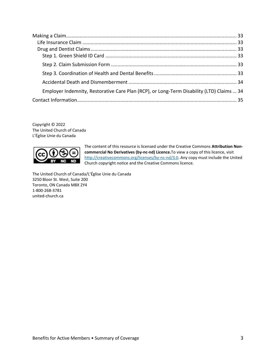| Employer Indemnity, Restorative Care Plan (RCP), or Long-Term Disability (LTD) Claims  34 |  |
|-------------------------------------------------------------------------------------------|--|
|                                                                                           |  |

Copyright © 2022 The United Church of Canada L'Église Unie du Canada



The content of this resource is licensed under the Creative Commons **Attribution Noncommercial No Derivatives (by-nc-nd) Licence.**To view a copy of this licence, visit [http://creativecommons.org/licenses/by-nc-nd/3.0.](http://creativecommons.org/licenses/by-nc-nd/3.0) Any copy must include the United Church copyright notice and the Creative Commons licence.

The United Church of Canada/L'Église Unie du Canada 3250 Bloor St. West, Suite 200 Toronto, ON Canada M8X 2Y4 1-800-268-3781 united-church.ca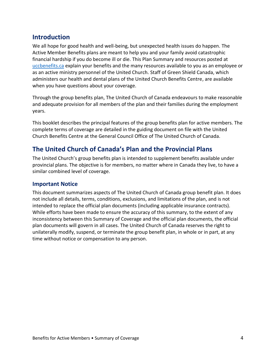## <span id="page-3-0"></span>**Introduction**

We all hope for good health and well-being, but unexpected health issues do happen. The Active Member Benefits plans are meant to help you and your family avoid catastrophic financial hardship if you do become ill or die. This Plan Summary and resources posted at [uccbenefits.ca](http://uccbenefits.ca/) explain your benefits and the many resources available to you as an employee or as an active ministry personnel of the United Church. Staff of Green Shield Canada, which administers our health and dental plans of the United Church Benefits Centre, are available when you have questions about your coverage.

Through the group benefits plan, The United Church of Canada endeavours to make reasonable and adequate provision for all members of the plan and their families during the employment years.

This booklet describes the principal features of the group benefits plan for active members. The complete terms of coverage are detailed in the guiding document on file with the United Church Benefits Centre at the General Council Office of The United Church of Canada.

# <span id="page-3-1"></span>**The United Church of Canada's Plan and the Provincial Plans**

The United Church's group benefits plan is intended to supplement benefits available under provincial plans. The objective is for members, no matter where in Canada they live, to have a similar combined level of coverage.

#### <span id="page-3-2"></span>**Important Notice**

This document summarizes aspects of The United Church of Canada group benefit plan. It does not include all details, terms, conditions, exclusions, and limitations of the plan, and is not intended to replace the official plan documents (including applicable insurance contracts). While efforts have been made to ensure the accuracy of this summary, to the extent of any inconsistency between this Summary of Coverage and the official plan documents, the official plan documents will govern in all cases. The United Church of Canada reserves the right to unilaterally modify, suspend, or terminate the group benefit plan, in whole or in part, at any time without notice or compensation to any person.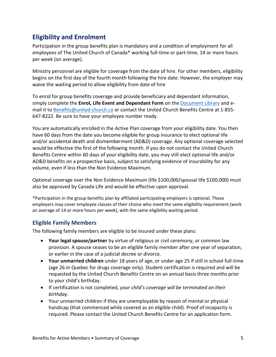# <span id="page-4-0"></span>**Eligibility and Enrolment**

Participation in the group benefits plan is mandatory and a condition of employment for all employees of The United Church of Canada\* working full-time or part-time, 14 or more hours per week (on average).

Ministry personnel are eligible for coverage from the date of hire. For other members, eligibility begins on the first day of the fourth month following the hire date. However, the employer may waive the waiting period to allow eligibility from date of hire

To enrol for group benefits coverage and provide beneficiary and dependant information, simply complete the **Enrol, Life Event and Dependant Form** on the [Document Library](https://uccbenefits.ca/document-library/) and email it to [Benefits@united-church.ca](mailto:Benefits@united-church.ca) or contact the United Church Benefits Centre at 1-855- 647-8222. Be sure to have your employee number ready.

You are automatically enrolled in the Active Plan coverage from your eligibility date. You then have 60 days from the date you become eligible for group insurance to elect optional life and/or accidental death and dismemberment (AD&D) coverage. Any optional coverage selected would be effective the first of the following month. If you do not contact the United Church Benefits Centre within 60 days of your eligibility date, you may still elect optional life and/or AD&D benefits on a prospective basis, subject to satisfying evidence of insurability for any volume, even if less than the Non Evidence Maximum.

Optional coverage over the Non Evidence Maximum (life \$100,000/spousal life \$100,000) must also be approved by Canada Life and would be effective upon approval.

\*Participation in the group benefits plan by affiliated participating employers is optional. Those employers may cover employee classes of their choice who meet the same eligibility requirement (work an average of 14 or more hours per week), with the same eligibility waiting period.

### <span id="page-4-1"></span>**Eligible Family Members**

The following family members are eligible to be insured under these plans:

- **Your legal spouse/partner** by virtue of religious or civil ceremony, or common law provision. A spouse ceases to be an eligible family member after one year of separation, or earlier in the case of a judicial decree or divorce.
- **Your unmarried children** under 18 years of age, or under age 25 if still in school full-time (age 26 in Quebec for drugs coverage only). Student certification is required and will be requested by the United Church Benefits Centre on an annual basis three months prior to your child's birthday.
- If certification is not completed, *your child's coverage will be terminated on their birthday*.
- Your unmarried children if they are unemployable by reason of mental or physical handicap (that commenced while covered as an eligible child). Proof of incapacity is required. Please contact the United Church Benefits Centre for an application form.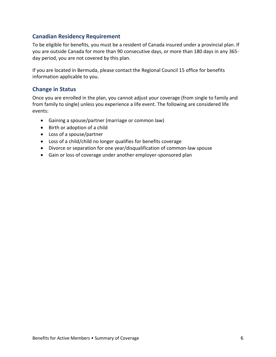### <span id="page-5-0"></span>**Canadian Residency Requirement**

To be eligible for benefits, you must be a resident of Canada insured under a provincial plan. If you are outside Canada for more than 90 consecutive days, or more than 180 days in any 365 day period, you are not covered by this plan.

If you are located in Bermuda, please contact the Regional Council 15 office for benefits information applicable to you.

#### <span id="page-5-1"></span>**Change in Status**

Once you are enrolled in the plan, you cannot adjust your coverage (from single to family and from family to single) unless you experience a life event. The following are considered life events:

- Gaining a spouse/partner (marriage or common law)
- Birth or adoption of a child
- Loss of a spouse/partner
- Loss of a child/child no longer qualifies for benefits coverage
- Divorce or separation for one year/disqualification of common-law spouse
- Gain or loss of coverage under another employer-sponsored plan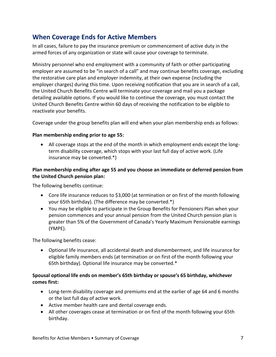# <span id="page-6-0"></span>**When Coverage Ends for Active Members**

In all cases, failure to pay the insurance premium or commencement of active duty in the armed forces of any organization or state will cause your coverage to terminate.

Ministry personnel who end employment with a community of faith or other participating employer are assumed to be "in search of a call" and may continue benefits coverage, excluding the restorative care plan and employer indemnity, at their own expense (including the employer charges) during this time. Upon receiving notification that you are in search of a call, the United Church Benefits Centre will terminate your coverage and mail you a package detailing available options. If you would like to continue the coverage, you must contact the United Church Benefits Centre within 60 days of receiving the notification to be eligible to reactivate your benefits.

Coverage under the group benefits plan will end when your plan membership ends as follows:

#### **Plan membership ending prior to age 55:**

• All coverage stops at the end of the month in which employment ends except the longterm disability coverage, which stops with your last full day of active work. (Life insurance may be converted.\*)

#### **Plan membership ending after age 55 and you choose an immediate or deferred pension from the United Church pension plan:**

The following benefits continue:

- Core life insurance reduces to \$3,000 (at termination or on first of the month following your 65th birthday). (The difference may be converted.\*)
- You may be eligible to participate in the Group Benefits for Pensioners Plan when your pension commences and your annual pension from the United Church pension plan is greater than 5% of the Government of Canada's Yearly Maximum Pensionable earnings (YMPE).

The following benefits cease:

• Optional life insurance, all accidental death and dismemberment, and life insurance for eligible family members ends (at termination or on first of the month following your 65th birthday). Optional life insurance may be converted.\*

#### **Spousal optional life ends on member's 65th birthday or spouse's 65 birthday, whichever comes first:**

- Long-term disability coverage and premiums end at the earlier of age 64 and 6 months or the last full day of active work.
- Active member health care and dental coverage ends.
- All other coverages cease at termination or on first of the month following your 65th birthday.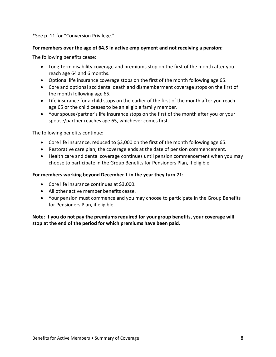\*See p. 11 for "Conversion Privilege."

#### **For members over the age of 64.5 in active employment and not receiving a pension:**

The following benefits cease:

- Long-term disability coverage and premiums stop on the first of the month after you reach age 64 and 6 months.
- Optional life insurance coverage stops on the first of the month following age 65.
- Core and optional accidental death and dismemberment coverage stops on the first of the month following age 65.
- Life insurance for a child stops on the earlier of the first of the month after you reach age 65 or the child ceases to be an eligible family member.
- Your spouse/partner's life insurance stops on the first of the month after you or your spouse/partner reaches age 65, whichever comes first.

The following benefits continue:

- Core life insurance, reduced to \$3,000 on the first of the month following age 65.
- Restorative care plan; the coverage ends at the date of pension commencement.
- Health care and dental coverage continues until pension commencement when you may choose to participate in the Group Benefits for Pensioners Plan, if eligible.

#### **For members working beyond December 1 in the year they turn 71:**

- Core life insurance continues at \$3,000.
- All other active member benefits cease.
- Your pension must commence and you may choose to participate in the Group Benefits for Pensioners Plan, if eligible.

**Note: If you do not pay the premiums required for your group benefits, your coverage will stop at the end of the period for which premiums have been paid.**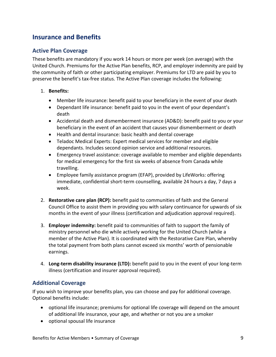# <span id="page-8-0"></span>**Insurance and Benefits**

#### <span id="page-8-1"></span>**Active Plan Coverage**

These benefits are mandatory if you work 14 hours or more per week (on average) with the United Church. Premiums for the Active Plan benefits, RCP, and employer indemnity are paid by the community of faith or other participating employer. Premiums for LTD are paid by you to preserve the benefit's tax-free status. The Active Plan coverage includes the following:

#### 1. **Benefits:**

- Member life insurance: benefit paid to your beneficiary in the event of your death
- Dependant life insurance: benefit paid to you in the event of your dependant's death
- Accidental death and dismemberment insurance (AD&D): benefit paid to you or your beneficiary in the event of an accident that causes your dismemberment or death
- Health and dental insurance: basic health and dental coverage
- Teladoc Medical Experts: Expert medical services for member and eligible dependants. Includes second opinion service and additional resources.
- Emergency travel assistance: coverage available to member and eligible dependants for medical emergency for the first six weeks of absence from Canada while travelling.
- Employee family assistance program (EFAP), provided by LifeWorks: offering immediate, confidential short-term counselling, available 24 hours a day, 7 days a week.
- 2. **Restorative care plan (RCP):** benefit paid to communities of faith and the General Council Office to assist them in providing you with salary continuance for upwards of six months in the event of your illness (certification and adjudication approval required).
- 3. **Employer indemnity:** benefit paid to communities of faith to support the family of ministry personnel who die while actively working for the United Church (while a member of the Active Plan). It is coordinated with the Restorative Care Plan, whereby the total payment from both plans cannot exceed six months' worth of pensionable earnings.
- 4. **Long-term disability insurance (LTD):** benefit paid to you in the event of your long-term illness (certification and insurer approval required).

### <span id="page-8-2"></span>**Additional Coverage**

If you wish to improve your benefits plan, you can choose and pay for additional coverage. Optional benefits include:

- optional life insurance; premiums for optional life coverage will depend on the amount of additional life insurance, your age, and whether or not you are a smoker
- optional spousal life insurance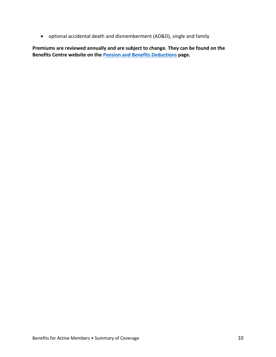• optional accidental death and dismemberment (AD&D), single and family

**Premiums are reviewed annually and are subject to change. They can be found on the Benefits Centre website on the [Pension and Benefits Deductions](https://uccbenefits.ca/deduction/) page.**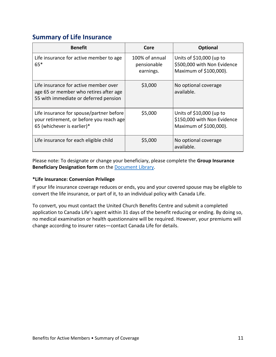# <span id="page-10-0"></span>**Summary of Life Insurance**

| <b>Benefit</b>                                                                                                           | Core                                       | <b>Optional</b>                                                                   |
|--------------------------------------------------------------------------------------------------------------------------|--------------------------------------------|-----------------------------------------------------------------------------------|
| Life insurance for active member to age<br>$65*$                                                                         | 100% of annual<br>pensionable<br>earnings. | Units of \$10,000 (up to<br>\$500,000 with Non Evidence<br>Maximum of \$100,000). |
| Life insurance for active member over<br>age 65 or member who retires after age<br>55 with immediate or deferred pension | \$3,000                                    | No optional coverage<br>available.                                                |
| Life insurance for spouse/partner before<br>your retirement, or before you reach age<br>65 (whichever is earlier)*       | \$5,000                                    | Units of \$10,000 (up to<br>\$150,000 with Non Evidence<br>Maximum of \$100,000). |
| Life insurance for each eligible child                                                                                   | \$5,000                                    | No optional coverage<br>available.                                                |

Please note: To designate or change your beneficiary, please complete the **Group Insurance Beneficiary Designation form** on the [Document Library.](https://uccbenefits.ca/document-library/)

#### **\*Life Insurance: Conversion Privilege**

If your life insurance coverage reduces or ends, you and your covered spouse may be eligible to convert the life insurance, or part of it, to an individual policy with Canada Life.

To convert, you must contact the United Church Benefits Centre and submit a completed application to Canada Life's agent within 31 days of the benefit reducing or ending. By doing so, no medical examination or health questionnaire will be required. However, your premiums will change according to insurer rates—contact Canada Life for details.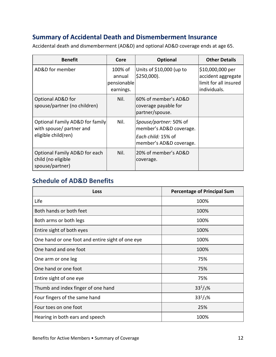# <span id="page-11-0"></span>**Summary of Accidental Death and Dismemberment Insurance**

Accidental death and dismemberment (AD&D) and optional AD&D coverage ends at age 65.

| <b>Benefit</b>                                                                     | Core                                          | <b>Optional</b>                                                                                    | <b>Other Details</b>                                                            |
|------------------------------------------------------------------------------------|-----------------------------------------------|----------------------------------------------------------------------------------------------------|---------------------------------------------------------------------------------|
| AD&D for member                                                                    | 100% of<br>annual<br>pensionable<br>earnings. | Units of \$10,000 (up to<br>$$250,000$ ).                                                          | \$10,000,000 per<br>accident aggregate<br>limit for all insured<br>individuals. |
| Optional AD&D for<br>spouse/partner (no children)                                  | Nil.                                          | 60% of member's AD&D<br>coverage payable for<br>partner/spouse.                                    |                                                                                 |
| Optional Family AD&D for family<br>with spouse/ partner and<br>eligible child(ren) | Nil.                                          | Spouse/partner: 50% of<br>member's AD&D coverage.<br>Each child: 15% of<br>member's AD&D coverage. |                                                                                 |
| Optional Family AD&D for each<br>child (no eligible<br>spouse/partner)             | Nil.                                          | 20% of member's AD&D<br>coverage.                                                                  |                                                                                 |

# <span id="page-11-1"></span>**Schedule of AD&D Benefits**

| <b>Loss</b>                                      | <b>Percentage of Principal Sum</b> |
|--------------------------------------------------|------------------------------------|
| Life                                             | 100%                               |
| Both hands or both feet                          | 100%                               |
| Both arms or both legs                           | 100%                               |
| Entire sight of both eyes                        | 100%                               |
| One hand or one foot and entire sight of one eye | 100%                               |
| One hand and one foot                            | 100%                               |
| One arm or one leg                               | 75%                                |
| One hand or one foot                             | 75%                                |
| Entire sight of one eye                          | 75%                                |
| Thumb and index finger of one hand               | $33^{1}/_{3}\%$                    |
| Four fingers of the same hand                    | $33^{1}/_{3}\%$                    |
| Four toes on one foot                            | 25%                                |
| Hearing in both ears and speech                  | 100%                               |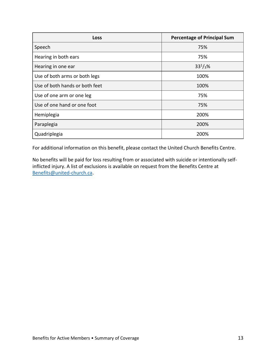| <b>Loss</b>                    | <b>Percentage of Principal Sum</b> |
|--------------------------------|------------------------------------|
| Speech                         | 75%                                |
| Hearing in both ears           | 75%                                |
| Hearing in one ear             | $33^{1}/_{3}\%$                    |
| Use of both arms or both legs  | 100%                               |
| Use of both hands or both feet | 100%                               |
| Use of one arm or one leg      | 75%                                |
| Use of one hand or one foot    | 75%                                |
| Hemiplegia                     | 200%                               |
| Paraplegia                     | 200%                               |
| Quadriplegia                   | 200%                               |

For additional information on this benefit, please contact the United Church Benefits Centre.

No benefits will be paid for loss resulting from or associated with suicide or intentionally selfinflicted injury. A list of exclusions is available on request from the Benefits Centre at [Benefits@united-church.ca.](mailto:Benefits@united-church.ca)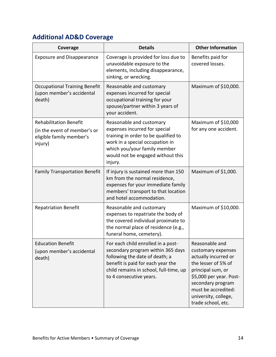# <span id="page-13-0"></span>**Additional AD&D Coverage**

| Coverage                                                                                             | <b>Details</b>                                                                                                                                                                                                       | <b>Other Information</b>                                                                                                                                                                                                      |
|------------------------------------------------------------------------------------------------------|----------------------------------------------------------------------------------------------------------------------------------------------------------------------------------------------------------------------|-------------------------------------------------------------------------------------------------------------------------------------------------------------------------------------------------------------------------------|
| <b>Exposure and Disappearance</b>                                                                    | Coverage is provided for loss due to<br>unavoidable exposure to the<br>elements, including disappearance,<br>sinking, or wrecking.                                                                                   | Benefits paid for<br>covered losses.                                                                                                                                                                                          |
| <b>Occupational Training Benefit</b><br>(upon member's accidental<br>death)                          | Reasonable and customary<br>expenses incurred for special<br>occupational training for your<br>spouse/partner within 3 years of<br>your accident.                                                                    | Maximum of \$10,000.                                                                                                                                                                                                          |
| <b>Rehabilitation Benefit</b><br>(in the event of member's or<br>eligible family member's<br>injury) | Reasonable and customary<br>expenses incurred for special<br>training in order to be qualified to<br>work in a special occupation in<br>which you/your family member<br>would not be engaged without this<br>injury. | Maximum of \$10,000<br>for any one accident.                                                                                                                                                                                  |
| <b>Family Transportation Benefit</b>                                                                 | If injury is sustained more than 150<br>km from the normal residence,<br>expenses for your immediate family<br>members' transport to that location<br>and hotel accommodation.                                       | Maximum of \$1,000.                                                                                                                                                                                                           |
| <b>Repatriation Benefit</b>                                                                          | Reasonable and customary<br>expenses to repatriate the body of<br>the covered individual proximate to<br>the normal place of residence (e.g.,<br>funeral home, cemetery).                                            | Maximum of \$10,000.                                                                                                                                                                                                          |
| <b>Education Benefit</b><br>(upon member's accidental<br>death)                                      | For each child enrolled in a post-<br>secondary program within 365 days<br>following the date of death; a<br>benefit is paid for each year the<br>child remains in school, full-time, up<br>to 4 consecutive years.  | Reasonable and<br>customary expenses<br>actually incurred or<br>the lesser of 5% of<br>principal sum, or<br>\$5,000 per year. Post-<br>secondary program<br>must be accredited:<br>university, college,<br>trade school, etc. |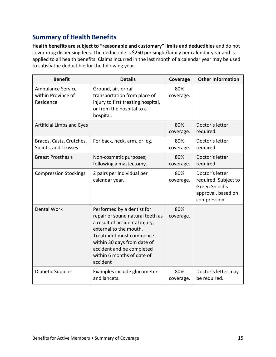# <span id="page-14-0"></span>**Summary of Health Benefits**

**Health benefits are subject to "reasonable and customary" limits and deductibles** and do not cover drug dispensing fees. The deductible is \$250 per single/family per calendar year and is applied to all health benefits. Claims incurred in the last month of a calendar year may be used to satisfy the deductible for the following year.

| <b>Benefit</b>                                              | <b>Details</b>                                                                                                                                                                                                                                              | Coverage         | <b>Other Information</b>                                                                        |
|-------------------------------------------------------------|-------------------------------------------------------------------------------------------------------------------------------------------------------------------------------------------------------------------------------------------------------------|------------------|-------------------------------------------------------------------------------------------------|
| <b>Ambulance Service</b><br>within Province of<br>Residence | Ground, air, or rail<br>transportation from place of<br>injury to first treating hospital,<br>or from the hospital to a<br>hospital.                                                                                                                        | 80%<br>coverage. |                                                                                                 |
| <b>Artificial Limbs and Eyes</b>                            |                                                                                                                                                                                                                                                             | 80%<br>coverage. | Doctor's letter<br>required.                                                                    |
| Braces, Casts, Crutches,<br>Splints, and Trusses            | For back, neck, arm, or leg.                                                                                                                                                                                                                                | 80%<br>coverage. | Doctor's letter<br>required.                                                                    |
| <b>Breast Prosthesis</b>                                    | Non-cosmetic purposes;<br>following a mastectomy.                                                                                                                                                                                                           | 80%<br>coverage. | Doctor's letter<br>required.                                                                    |
| <b>Compression Stockings</b>                                | 2 pairs per individual per<br>calendar year.                                                                                                                                                                                                                | 80%<br>coverage. | Doctor's letter<br>required. Subject to<br>Green Shield's<br>approval, based on<br>compression. |
| <b>Dental Work</b>                                          | Performed by a dentist for<br>repair of sound natural teeth as<br>a result of accidental injury,<br>external to the mouth.<br>Treatment must commence<br>within 30 days from date of<br>accident and be completed<br>within 6 months of date of<br>accident | 80%<br>coverage. |                                                                                                 |
| <b>Diabetic Supplies</b>                                    | Examples include glucometer<br>and lancets.                                                                                                                                                                                                                 | 80%<br>coverage. | Doctor's letter may<br>be required.                                                             |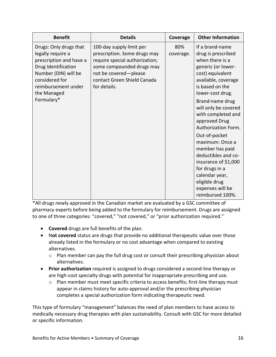| <b>Benefit</b>                                                                                                                                                                              | <b>Details</b>                                                                                                                                                                                  | Coverage         | <b>Other Information</b>                                                                                                                                                                                                                                                                                                                                                                          |
|---------------------------------------------------------------------------------------------------------------------------------------------------------------------------------------------|-------------------------------------------------------------------------------------------------------------------------------------------------------------------------------------------------|------------------|---------------------------------------------------------------------------------------------------------------------------------------------------------------------------------------------------------------------------------------------------------------------------------------------------------------------------------------------------------------------------------------------------|
| Drugs: Only drugs that<br>legally require a<br>prescription and have a<br>Drug Identification<br>Number (DIN) will be<br>considered for<br>reimbursement under<br>the Managed<br>Formulary* | 100-day supply limit per<br>prescription. Some drugs may<br>require special authorization;<br>some compounded drugs may<br>not be covered-please<br>contact Green Shield Canada<br>for details. | 80%<br>coverage. | If a brand-name<br>drug is prescribed<br>when there is a<br>generic (or lower-<br>cost) equivalent<br>available, coverage<br>is based on the<br>lower-cost drug.<br>Brand-name drug<br>will only be covered<br>with completed and<br>approved Drug<br>Authorization Form.<br>Out-of-pocket<br>maximum: Once a<br>member has paid<br>deductibles and co-<br>insurance of \$1,000<br>for drugs in a |
|                                                                                                                                                                                             |                                                                                                                                                                                                 |                  | calendar year,<br>eligible drug<br>expenses will be<br>reimbursed 100%.                                                                                                                                                                                                                                                                                                                           |

\*All drugs newly approved in the Canadian market are evaluated by a GSC committee of pharmacy experts before being added to the formulary for reimbursement. Drugs are assigned to one of three categories: "covered," "not covered," or "prior authorization required."

- **Covered** drugs are full benefits of the plan.
- N**ot covered** status are drugs that provide no additional therapeutic value over those already listed in the formulary or no cost advantage when compared to existing alternatives.
	- o Plan member can pay the full drug cost or consult their prescribing physician about alternatives.
- **Prior authorization** required is assigned to drugs considered a second-line therapy or are high-cost specialty drugs with potential for inappropriate prescribing and use.
	- $\circ$  Plan member must meet specific criteria to access benefits; first-line therapy must appear in claims history for auto-approval and/or the prescribing physician completes a special authorization form indicating therapeutic need.

This type of formulary "management" balances the need of plan members to have access to medically necessary drug therapies with plan sustainability. Consult with GSC for more detailed or specific information.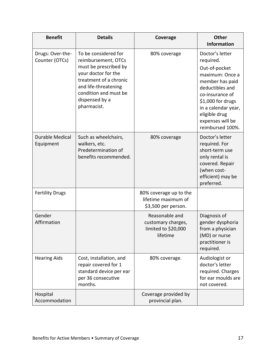| <b>Benefit</b>                      | <b>Details</b>                                                                                                                                                                                          | Coverage                                                                | <b>Other</b><br><b>Information</b>                                                                                                                                                                                              |
|-------------------------------------|---------------------------------------------------------------------------------------------------------------------------------------------------------------------------------------------------------|-------------------------------------------------------------------------|---------------------------------------------------------------------------------------------------------------------------------------------------------------------------------------------------------------------------------|
| Drugs: Over-the-<br>Counter (OTCs)  | To be considered for<br>reimbursement, OTCs<br>must be prescribed by<br>your doctor for the<br>treatment of a chronic<br>and life-threatening<br>condition and must be<br>dispensed by a<br>pharmacist. | 80% coverage                                                            | Doctor's letter<br>required.<br>Out-of-pocket<br>maximum: Once a<br>member has paid<br>deductibles and<br>co-insurance of<br>$$1,000$ for drugs<br>in a calendar year,<br>eligible drug<br>expenses will be<br>reimbursed 100%. |
| <b>Durable Medical</b><br>Equipment | Such as wheelchairs,<br>walkers, etc.<br>Predetermination of<br>benefits recommended.                                                                                                                   | 80% coverage                                                            | Doctor's letter<br>required. For<br>short-term use<br>only rental is<br>covered. Repair<br>(when cost-<br>efficient) may be<br>preferred.                                                                                       |
| <b>Fertility Drugs</b>              |                                                                                                                                                                                                         | 80% coverage up to the<br>lifetime maximum of<br>\$3,500 per person.    |                                                                                                                                                                                                                                 |
| Gender<br>Affirmation               |                                                                                                                                                                                                         | Reasonable and<br>customary charges,<br>limited to \$20,000<br>lifetime | Diagnosis of<br>gender dysphoria<br>from a physician<br>(MD) or nurse<br>practitioner is<br>required.                                                                                                                           |
| <b>Hearing Aids</b>                 | Cost, installation, and<br>repair covered for 1<br>standard device per ear<br>per 36 consecutive<br>months.                                                                                             | 80% coverage.                                                           | Audiologist or<br>doctor's letter<br>required. Charges<br>for ear moulds are<br>not covered.                                                                                                                                    |
| Hospital<br>Accommodation           |                                                                                                                                                                                                         | Coverage provided by<br>provincial plan.                                |                                                                                                                                                                                                                                 |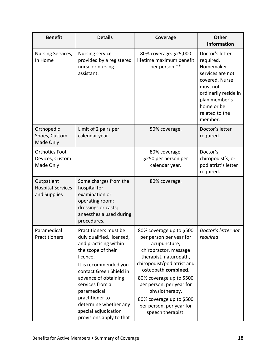| <b>Benefit</b>                                         | <b>Details</b>                                                                                                                                                                                                                                                                                                              | Coverage                                                                                                                                                                                                                                                                                                                           | <b>Other</b><br><b>Information</b>                                                                                                                                              |
|--------------------------------------------------------|-----------------------------------------------------------------------------------------------------------------------------------------------------------------------------------------------------------------------------------------------------------------------------------------------------------------------------|------------------------------------------------------------------------------------------------------------------------------------------------------------------------------------------------------------------------------------------------------------------------------------------------------------------------------------|---------------------------------------------------------------------------------------------------------------------------------------------------------------------------------|
| Nursing Services,<br>In Home                           | <b>Nursing service</b><br>provided by a registered<br>nurse or nursing<br>assistant.                                                                                                                                                                                                                                        | 80% coverage. \$25,000<br>lifetime maximum benefit<br>per person.**                                                                                                                                                                                                                                                                | Doctor's letter<br>required.<br>Homemaker<br>services are not<br>covered. Nurse<br>must not<br>ordinarily reside in<br>plan member's<br>home or be<br>related to the<br>member. |
| Orthopedic<br>Shoes, Custom<br>Made Only               | Limit of 2 pairs per<br>calendar year.                                                                                                                                                                                                                                                                                      | 50% coverage.                                                                                                                                                                                                                                                                                                                      | Doctor's letter<br>required.                                                                                                                                                    |
| <b>Orthotics Foot</b><br>Devices, Custom<br>Made Only  |                                                                                                                                                                                                                                                                                                                             | 80% coverage.<br>\$250 per person per<br>calendar year.                                                                                                                                                                                                                                                                            | Doctor's,<br>chiropodist's, or<br>podiatrist's letter<br>required.                                                                                                              |
| Outpatient<br><b>Hospital Services</b><br>and Supplies | Some charges from the<br>hospital for<br>examination or<br>operating room;<br>dressings or casts;<br>anaesthesia used during<br>procedures.                                                                                                                                                                                 | 80% coverage.                                                                                                                                                                                                                                                                                                                      |                                                                                                                                                                                 |
| Paramedical<br>Practitioners                           | Practitioners must be<br>duly qualified, licensed,<br>and practising within<br>the scope of their<br>licence.<br>It is recommended you<br>contact Green Shield in<br>advance of obtaining<br>services from a<br>paramedical<br>practitioner to<br>determine whether any<br>special adjudication<br>provisions apply to that | 80% coverage up to \$500<br>per person per year for<br>acupuncture,<br>chiropractor, massage<br>therapist, naturopath,<br>chiropodist/podiatrist and<br>osteopath combined.<br>80% coverage up to \$500<br>per person, per year for<br>physiotherapy.<br>80% coverage up to \$500<br>per person, per year for<br>speech therapist. | Doctor's letter not<br>required                                                                                                                                                 |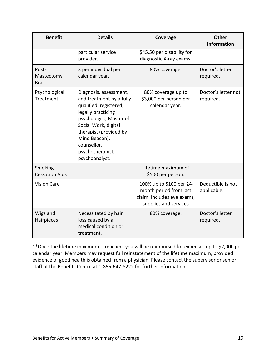| <b>Benefit</b>                     | <b>Details</b>                                                                                                                                                                                                                                        | Coverage                                                                                                  | <b>Other</b><br><b>Information</b> |
|------------------------------------|-------------------------------------------------------------------------------------------------------------------------------------------------------------------------------------------------------------------------------------------------------|-----------------------------------------------------------------------------------------------------------|------------------------------------|
|                                    | particular service<br>provider.                                                                                                                                                                                                                       | \$45.50 per disability for<br>diagnostic X-ray exams.                                                     |                                    |
| Post-<br>Mastectomy<br><b>Bras</b> | 3 per individual per<br>calendar year.                                                                                                                                                                                                                | 80% coverage.                                                                                             | Doctor's letter<br>required.       |
| Psychological<br>Treatment         | Diagnosis, assessment,<br>and treatment by a fully<br>qualified, registered,<br>legally practicing<br>psychologist, Master of<br>Social Work, digital<br>therapist (provided by<br>Mind Beacon),<br>counsellor,<br>psychotherapist,<br>psychoanalyst. | 80% coverage up to<br>\$3,000 per person per<br>calendar year.                                            | Doctor's letter not<br>required.   |
| Smoking<br><b>Cessation Aids</b>   |                                                                                                                                                                                                                                                       | Lifetime maximum of<br>\$500 per person.                                                                  |                                    |
| <b>Vision Care</b>                 |                                                                                                                                                                                                                                                       | 100% up to \$100 per 24-<br>month period from last<br>claim. Includes eye exams,<br>supplies and services | Deductible is not<br>applicable.   |
| Wigs and<br>Hairpieces             | Necessitated by hair<br>loss caused by a<br>medical condition or<br>treatment.                                                                                                                                                                        | 80% coverage.                                                                                             | Doctor's letter<br>required.       |

<span id="page-18-0"></span>\*\*Once the lifetime maximum is reached, you will be reimbursed for expenses up to \$2,000 per calendar year. Members may request full reinstatement of the lifetime maximum, provided evidence of good health is obtained from a physician. Please contact the supervisor or senior staff at the Benefits Centre at 1-855-647-8222 for further information.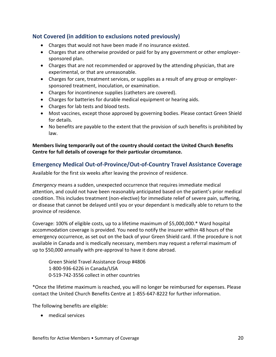### **Not Covered (in addition to exclusions noted previously)**

- Charges that would not have been made if no insurance existed.
- Charges that are otherwise provided or paid for by any government or other employersponsored plan.
- Charges that are not recommended or approved by the attending physician, that are experimental, or that are unreasonable.
- Charges for care, treatment services, or supplies as a result of any group or employersponsored treatment, inoculation, or examination.
- Charges for incontinence supplies (catheters are covered).
- Charges for batteries for durable medical equipment or hearing aids.
- Charges for lab tests and blood tests.
- Most vaccines, except those approved by governing bodies. Please contact Green Shield for details.
- No benefits are payable to the extent that the provision of such benefits is prohibited by law.

#### **Members living temporarily out of the country should contact the United Church Benefits Centre for full details of coverage for their particular circumstance.**

#### <span id="page-19-0"></span>**Emergency Medical Out-of-Province/Out-of-Country Travel Assistance Coverage**

Available for the first six weeks after leaving the province of residence.

*Emergency* means a sudden, unexpected occurrence that requires immediate medical attention, and could not have been reasonably anticipated based on the patient's prior medical condition. This includes treatment (non-elective) for immediate relief of severe pain, suffering, or disease that cannot be delayed until you or your dependant is medically able to return to the province of residence.

Coverage: 100% of eligible costs, up to a lifetime maximum of \$5,000,000.\* Ward hospital accommodation coverage is provided. You need to notify the insurer within 48 hours of the emergency occurrence, as set out on the back of your Green Shield card. If the procedure is not available in Canada and is medically necessary, members may request a referral maximum of up to \$50,000 annually with pre-approval to have it done abroad.

Green Shield Travel Assistance Group #4806 1-800-936-6226 in Canada/USA 0-519-742-3556 collect in other countries

\*Once the lifetime maximum is reached, you will no longer be reimbursed for expenses. Please contact the United Church Benefits Centre at 1-855-647-8222 for further information.

The following benefits are eligible:

• medical services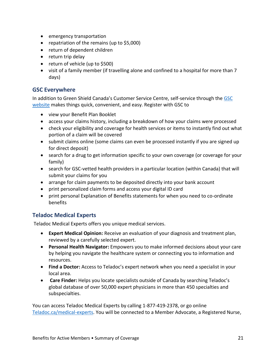- emergency transportation
- repatriation of the remains (up to \$5,000)
- return of dependent children
- return trip delay
- return of vehicle (up to \$500)
- visit of a family member (if travelling alone and confined to a hospital for more than 7 days)

### <span id="page-20-0"></span>**GSC Everywhere**

In addition to Green Shield Canada's Customer Service Centre, self-service through th[e GSC](https://www.greenshield.ca/en-ca/)  [website](https://www.greenshield.ca/en-ca/) makes things quick, convenient, and easy. Register with GSC to

- view your Benefit Plan Booklet
- access your claims history, including a breakdown of how your claims were processed
- check your eligibility and coverage for health services or items to instantly find out what portion of a claim will be covered
- submit claims online (some claims can even be processed instantly if you are signed up for direct deposit)
- search for a drug to get information specific to your own coverage (or coverage for your family)
- search for GSC-vetted health providers in a particular location (within Canada) that will submit your claims for you
- arrange for claim payments to be deposited directly into your bank account
- print personalized claim forms and access your digital ID card
- print personal Explanation of Benefits statements for when you need to co-ordinate benefits

#### <span id="page-20-1"></span>**Teladoc Medical Experts**

Teladoc Medical Experts offers you unique medical services.

- **Expert Medical Opinion:** Receive an evaluation of your diagnosis and treatment plan, reviewed by a carefully selected expert.
- **Personal Health Navigator:** Empowers you to make informed decisions about your care by helping you navigate the healthcare system or connecting you to information and resources.
- **Find a Doctor:** Access to Teladoc's expert network when you need a specialist in your local area.
- **Care Finder:** Helps you locate specialists outside of Canada by searching Teladoc's global database of over 50,000 expert physicians in more than 450 specialties and subspecialties.

You can access Teladoc Medical Experts by calling 1-877-419-2378, or go online [Teladoc.ca/medical-experts.](https://www.teladoc.ca/medical-experts/) You will be connected to a Member Advocate, a Registered Nurse,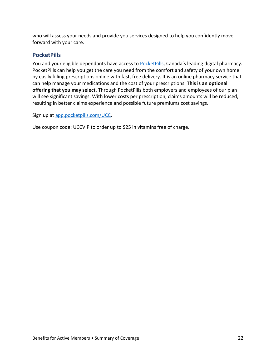who will assess your needs and provide you services designed to help you confidently move forward with your care.

### <span id="page-21-0"></span>**PocketPills**

You and your eligible dependants have access to [PocketPills,](https://www.pocketpills.com/UCC) Canada's leading digital pharmacy. PocketPills can help you get the care you need from the comfort and safety of your own home by easily filling prescriptions online with fast, free delivery. It is an online pharmacy service that can help manage your medications and the cost of your prescriptions. **This is an optional offering that you may select.** Through PocketPills both employers and employees of our plan will see significant savings. With lower costs per prescription, claims amounts will be reduced, resulting in better claims experience and possible future premiums cost savings.

Sign up a[t app.pocketpills.com/UCC.](https://www.pocketpills.com/UCC)

Use coupon code: UCCVIP to order up to \$25 in vitamins free of charge.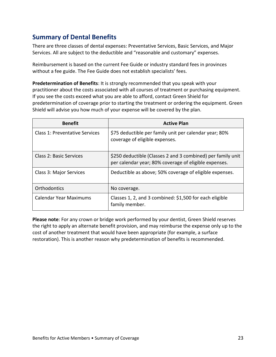# <span id="page-22-0"></span>**Summary of Dental Benefits**

There are three classes of dental expenses: Preventative Services, Basic Services, and Major Services. All are subject to the deductible and "reasonable and customary" expenses.

Reimbursement is based on the current Fee Guide or industry standard fees in provinces without a fee guide. The Fee Guide does not establish specialists' fees.

**Predetermination of Benefits**: It is strongly recommended that you speak with your practitioner about the costs associated with all courses of treatment or purchasing equipment. If you see the costs exceed what you are able to afford, contact Green Shield for predetermination of coverage prior to starting the treatment or ordering the equipment. Green Shield will advise you how much of your expense will be covered by the plan.

| <b>Benefit</b>                 | <b>Active Plan</b>                                                                                                   |
|--------------------------------|----------------------------------------------------------------------------------------------------------------------|
| Class 1: Preventative Services | \$75 deductible per family unit per calendar year; 80%<br>coverage of eligible expenses.                             |
| Class 2: Basic Services        | \$250 deductible (Classes 2 and 3 combined) per family unit<br>per calendar year; 80% coverage of eligible expenses. |
| Class 3: Major Services        | Deductible as above; 50% coverage of eligible expenses.                                                              |
| Orthodontics                   | No coverage.                                                                                                         |
| Calendar Year Maximums         | Classes 1, 2, and 3 combined: \$1,500 for each eligible<br>family member.                                            |

**Please note**: For any crown or bridge work performed by your dentist, Green Shield reserves the right to apply an alternate benefit provision, and may reimburse the expense only up to the cost of another treatment that would have been appropriate (for example, a surface restoration). This is another reason why predetermination of benefits is recommended.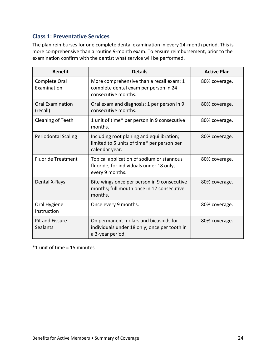### <span id="page-23-0"></span>**Class 1: Preventative Services**

The plan reimburses for one complete dental examination in every 24-month period. This is more comprehensive than a routine 9-month exam. To ensure reimbursement, prior to the examination confirm with the dentist what service will be performed.

| <b>Benefit</b>                      | <b>Details</b>                                                                                            | <b>Active Plan</b> |
|-------------------------------------|-----------------------------------------------------------------------------------------------------------|--------------------|
| Complete Oral<br>Examination        | More comprehensive than a recall exam: 1<br>complete dental exam per person in 24<br>consecutive months.  | 80% coverage.      |
| <b>Oral Examination</b><br>(recall) | Oral exam and diagnosis: 1 per person in 9<br>consecutive months.                                         | 80% coverage.      |
| Cleaning of Teeth                   | 1 unit of time* per person in 9 consecutive<br>months.                                                    | 80% coverage.      |
| <b>Periodontal Scaling</b>          | Including root planing and equilibration;<br>limited to 5 units of time* per person per<br>calendar year. | 80% coverage.      |
| <b>Fluoride Treatment</b>           | Topical application of sodium or stannous<br>fluoride; for individuals under 18 only,<br>every 9 months.  | 80% coverage.      |
| Dental X-Rays                       | Bite wings once per person in 9 consecutive<br>months; full mouth once in 12 consecutive<br>months.       | 80% coverage.      |
| Oral Hygiene<br>Instruction         | Once every 9 months.                                                                                      | 80% coverage.      |
| <b>Pit and Fissure</b><br>Sealants  | On permanent molars and bicuspids for<br>individuals under 18 only; once per tooth in<br>a 3-year period. | 80% coverage.      |

\*1 unit of time = 15 minutes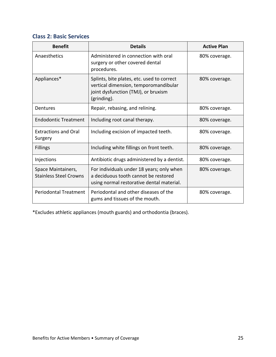### <span id="page-24-0"></span>**Class 2: Basic Services**

| <b>Benefit</b>                                      | <b>Details</b>                                                                                                                            | <b>Active Plan</b> |
|-----------------------------------------------------|-------------------------------------------------------------------------------------------------------------------------------------------|--------------------|
| Anaesthetics                                        | Administered in connection with oral<br>surgery or other covered dental<br>procedures.                                                    | 80% coverage.      |
| Appliances*                                         | Splints, bite plates, etc. used to correct<br>vertical dimension, temporomandibular<br>joint dysfunction (TMJ), or bruxism<br>(grinding). | 80% coverage.      |
| Dentures                                            | Repair, rebasing, and relining.                                                                                                           | 80% coverage.      |
| <b>Endodontic Treatment</b>                         | Including root canal therapy.                                                                                                             | 80% coverage.      |
| <b>Extractions and Oral</b><br>Surgery              | Including excision of impacted teeth.                                                                                                     | 80% coverage.      |
| <b>Fillings</b>                                     | Including white fillings on front teeth.                                                                                                  | 80% coverage.      |
| Injections                                          | Antibiotic drugs administered by a dentist.                                                                                               | 80% coverage.      |
| Space Maintainers,<br><b>Stainless Steel Crowns</b> | For individuals under 18 years; only when<br>a deciduous tooth cannot be restored<br>using normal restorative dental material.            | 80% coverage.      |
| <b>Periodontal Treatment</b>                        | Periodontal and other diseases of the<br>gums and tissues of the mouth.                                                                   | 80% coverage.      |

\*Excludes athletic appliances (mouth guards) and orthodontia (braces).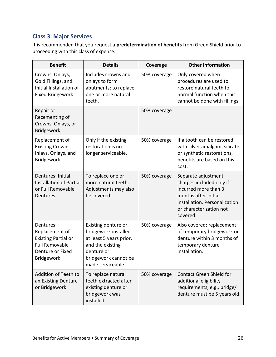### <span id="page-25-0"></span>**Class 3: Major Services**

It is recommended that you request a **predetermination of benefits** from Green Shield prior to proceeding with this class of expense.

| <b>Benefit</b>                                                                                                              | <b>Details</b>                                                                                                                                        | Coverage     | <b>Other Information</b>                                                                                                                                                |
|-----------------------------------------------------------------------------------------------------------------------------|-------------------------------------------------------------------------------------------------------------------------------------------------------|--------------|-------------------------------------------------------------------------------------------------------------------------------------------------------------------------|
| Crowns, Onlays,<br>Gold Fillings, and<br>Initial Installation of<br><b>Fixed Bridgework</b>                                 | Includes crowns and<br>onlays to form<br>abutments; to replace<br>one or more natural<br>teeth.                                                       | 50% coverage | Only covered when<br>procedures are used to<br>restore natural teeth to<br>normal function when this<br>cannot be done with fillings.                                   |
| Repair or<br>Recementing of<br>Crowns, Onlays, or<br>Bridgework                                                             |                                                                                                                                                       | 50% coverage |                                                                                                                                                                         |
| Replacement of<br><b>Existing Crowns,</b><br>Inlays, Onlays, and<br><b>Bridgework</b>                                       | Only if the existing<br>restoration is no<br>longer serviceable.                                                                                      | 50% coverage | If a tooth can be restored<br>with silver amalgam, silicate,<br>or synthetic restorations,<br>benefits are based on this<br>cost.                                       |
| Dentures: Initial<br><b>Installation of Partial</b><br>or Full Removable<br>Dentures                                        | To replace one or<br>more natural teeth.<br>Adjustments may also<br>be covered.                                                                       | 50% coverage | Separate adjustment<br>charges included only if<br>incurred more than 3<br>months after initial<br>installation. Personalization<br>or characterization not<br>covered. |
| Dentures:<br>Replacement of<br><b>Existing Partial or</b><br><b>Full Removable</b><br>Denture or Fixed<br><b>Bridgework</b> | Existing denture or<br>bridgework installed<br>at least 5 years prior,<br>and the existing<br>denture or<br>bridgework cannot be<br>made serviceable. | 50% coverage | Also covered: replacement<br>of temporary bridgework or<br>denture within 3 months of<br>temporary denture<br>installation.                                             |
| Addition of Teeth to<br>an Existing Denture<br>or Bridgework                                                                | To replace natural<br>teeth extracted after<br>existing denture or<br>bridgework was<br>installed.                                                    | 50% coverage | <b>Contact Green Shield for</b><br>additional eligibility<br>requirements, e.g., bridge/<br>denture must be 5 years old.                                                |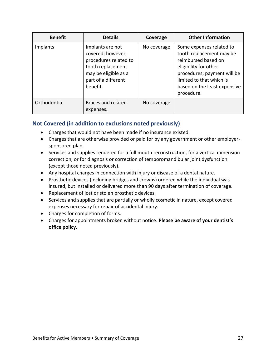| <b>Benefit</b> | <b>Details</b>                                                                                                                                 | Coverage    | <b>Other Information</b>                                                                                                                                                                                      |
|----------------|------------------------------------------------------------------------------------------------------------------------------------------------|-------------|---------------------------------------------------------------------------------------------------------------------------------------------------------------------------------------------------------------|
| Implants       | Implants are not<br>covered; however,<br>procedures related to<br>tooth replacement<br>may be eligible as a<br>part of a different<br>benefit. | No coverage | Some expenses related to<br>tooth replacement may be<br>reimbursed based on<br>eligibility for other<br>procedures; payment will be<br>limited to that which is<br>based on the least expensive<br>procedure. |
| Orthodontia    | <b>Braces and related</b><br>expenses.                                                                                                         | No coverage |                                                                                                                                                                                                               |

### <span id="page-26-0"></span>**Not Covered (in addition to exclusions noted previously)**

- Charges that would not have been made if no insurance existed.
- Charges that are otherwise provided or paid for by any government or other employersponsored plan.
- Services and supplies rendered for a full mouth reconstruction, for a vertical dimension correction, or for diagnosis or correction of temporomandibular joint dysfunction (except those noted previously).
- Any hospital charges in connection with injury or disease of a dental nature.
- Prosthetic devices (including bridges and crowns) ordered while the individual was insured, but installed or delivered more than 90 days after termination of coverage.
- Replacement of lost or stolen prosthetic devices.
- Services and supplies that are partially or wholly cosmetic in nature, except covered expenses necessary for repair of accidental injury.
- Charges for completion of forms.
- Charges for appointments broken without notice. **Please be aware of your dentist's office policy.**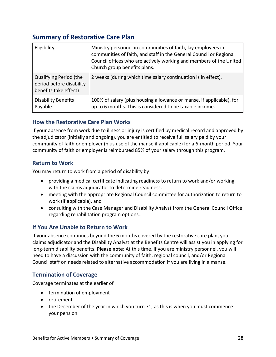# <span id="page-27-0"></span>**Summary of Restorative Care Plan**

| Eligibility                                                                        | Ministry personnel in communities of faith, lay employees in<br>communities of faith, and staff in the General Council or Regional<br>Council offices who are actively working and members of the United<br>Church group benefits plans. |
|------------------------------------------------------------------------------------|------------------------------------------------------------------------------------------------------------------------------------------------------------------------------------------------------------------------------------------|
| <b>Qualifying Period (the</b><br>period before disability<br>benefits take effect) | 2 weeks (during which time salary continuation is in effect).                                                                                                                                                                            |
| <b>Disability Benefits</b><br>Payable                                              | 100% of salary (plus housing allowance or manse, if applicable), for<br>up to 6 months. This is considered to be taxable income.                                                                                                         |

### <span id="page-27-1"></span>**How the Restorative Care Plan Works**

If your absence from work due to illness or injury is certified by medical record and approved by the adjudicator (initially and ongoing), you are entitled to receive full salary paid by your community of faith or employer (plus use of the manse if applicable) for a 6-month period. Your community of faith or employer is reimbursed 85% of your salary through this program.

### <span id="page-27-2"></span>**Return to Work**

You may return to work from a period of disability by

- providing a medical certificate indicating readiness to return to work and/or working with the claims adjudicator to determine readiness,
- meeting with the appropriate Regional Council committee for authorization to return to work (if applicable), and
- consulting with the Case Manager and Disability Analyst from the General Council Office regarding rehabilitation program options.

### <span id="page-27-3"></span>**If You Are Unable to Return to Work**

If your absence continues beyond the 6 months covered by the restorative care plan, your claims adjudicator and the Disability Analyst at the Benefits Centre will assist you in applying for long-term disability benefits. **Please note**: At this time, if you are ministry personnel, you will need to have a discussion with the community of faith, regional council, and/or Regional Council staff on needs related to alternative accommodation if you are living in a manse.

### <span id="page-27-4"></span>**Termination of Coverage**

Coverage terminates at the earlier of

- termination of employment
- retirement
- the December of the year in which you turn 71, as this is when you must commence your pension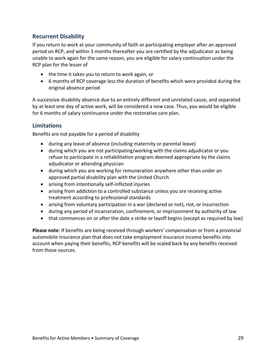### <span id="page-28-0"></span>**Recurrent Disability**

If you return to work at your community of faith or participating employer after an approved period on RCP, and within 3 months thereafter you are certified by the adjudicator as being unable to work again for the same reason, you are eligible for salary continuation under the RCP plan for the lesser of

- the time it takes you to return to work again, or
- 6 months of RCP coverage less the duration of benefits which were provided during the original absence period

A successive disability absence due to an entirely different and unrelated cause, and separated by at least one day of active work, will be considered a new case. Thus, you would be eligible for 6 months of salary continuance under the restorative care plan.

### <span id="page-28-1"></span>**Limitations**

Benefits are not payable for a period of disability

- during any leave of absence (including maternity or parental leave)
- during which you are not participating/working with the claims adjudicator or you refuse to participate in a rehabilitation program deemed appropriate by the claims adjudicator or attending physician
- during which you are working for remuneration anywhere other than under an approved partial disability plan with the United Church
- arising from intentionally self-inflicted injuries
- arising from addiction to a controlled substance unless you are receiving active treatment according to professional standards
- arising from voluntary participation in a war (declared or not), riot, or insurrection
- during any period of incarceration, confinement, or imprisonment by authority of law
- that commences on or after the date a strike or layoff begins (except as required by law)

**Please note**: If benefits are being received through workers' compensation or from a provincial automobile insurance plan that does not take employment insurance income benefits into account when paying their benefits, RCP benefits will be scaled back by any benefits received from those sources.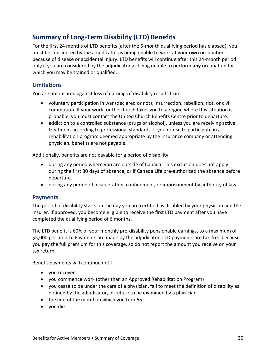# <span id="page-29-0"></span>**Summary of Long-Term Disability (LTD) Benefits**

For the first 24 months of LTD benefits (after the 6-month qualifying period has elapsed), you must be considered by the adjudicator as being unable to work at your **own** occupation because of disease or accidental injury. LTD benefits will continue after this 24-month period only if you are considered by the adjudicator as being unable to perform **any** occupation for which you may be trained or qualified.

### <span id="page-29-1"></span>**Limitations**

You are not insured against loss of earnings if disability results from

- voluntary participation in war (declared or not), insurrection, rebellion, riot, or civil commotion. If your work for the church takes you to a region where this situation is probable, you must contact the United Church Benefits Centre prior to departure.
- addiction to a controlled substance (drugs or alcohol), unless you are receiving active treatment according to professional standards. If you refuse to participate in a rehabilitation program deemed appropriate by the insurance company or attending physician, benefits are not payable.

Additionally, benefits are not payable for a period of disability

- during any period where you are outside of Canada. This exclusion does not apply during the first 30 days of absence, or if Canada Life pre-authorized the absence before departure.
- during any period of incarceration, confinement, or imprisonment by authority of law

#### <span id="page-29-2"></span>**Payments**

The period of disability starts on the day you are certified as disabled by your physician and the insurer. If approved, you become eligible to receive the first LTD payment after you have completed the qualifying period of 6 months.

The LTD benefit is 60% of your monthly pre-disability pensionable earnings, to a maximum of \$5,000 per month. Payments are made by the adjudicator. LTD payments are tax-free because you pay the full premium for this coverage, so do not report the amount you receive on your tax return.

Benefit payments will continue until

- you recover
- you commence work (other than an Approved Rehabilitation Program)
- you cease to be under the care of a physician, fail to meet the definition of disability as defined by the adjudicator, or refuse to be examined by a physician
- the end of the month in which you turn 65
- you die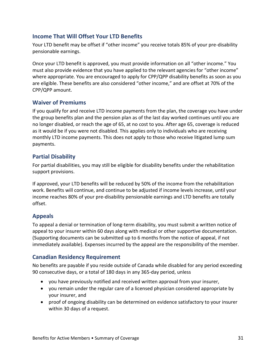### <span id="page-30-0"></span>**Income That Will Offset Your LTD Benefits**

Your LTD benefit may be offset if "other income" you receive totals 85% of your pre-disability pensionable earnings.

Once your LTD benefit is approved, you must provide information on all "other income." You must also provide evidence that you have applied to the relevant agencies for "other income" where appropriate. You are encouraged to apply for CPP/QPP disability benefits as soon as you are eligible. These benefits are also considered "other income," and are offset at 70% of the CPP/QPP amount.

### <span id="page-30-1"></span>**Waiver of Premiums**

If you qualify for and receive LTD income payments from the plan, the coverage you have under the group benefits plan and the pension plan as of the last day worked continues until you are no longer disabled, or reach the age of 65, at no cost to you. After age 65, coverage is reduced as it would be if you were not disabled. This applies only to individuals who are receiving monthly LTD income payments. This does not apply to those who receive litigated lump sum payments.

### <span id="page-30-2"></span>**Partial Disability**

For partial disabilities, you may still be eligible for disability benefits under the rehabilitation support provisions.

If approved, your LTD benefits will be reduced by 50% of the income from the rehabilitation work. Benefits will continue, and continue to be adjusted if income levels increase, until your income reaches 80% of your pre-disability pensionable earnings and LTD benefits are totally offset.

### <span id="page-30-3"></span>**Appeals**

To appeal a denial or termination of long-term disability, you must submit a written notice of appeal to your insurer within 60 days along with medical or other supportive documentation. (Supporting documents can be submitted up to 6 months from the notice of appeal, if not immediately available). Expenses incurred by the appeal are the responsibility of the member.

### <span id="page-30-4"></span>**Canadian Residency Requirement**

No benefits are payable if you reside outside of Canada while disabled for any period exceeding 90 consecutive days, or a total of 180 days in any 365-day period, unless

- you have previously notified and received written approval from your insurer,
- you remain under the regular care of a licensed physician considered appropriate by your insurer, and
- proof of ongoing disability can be determined on evidence satisfactory to your insurer within 30 days of a request.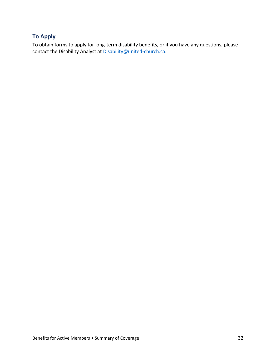### <span id="page-31-0"></span>**To Apply**

To obtain forms to apply for long-term disability benefits, or if you have any questions, please contact the Disability Analyst at [Disability@united-church.ca.](mailto:Disability@united-church.ca)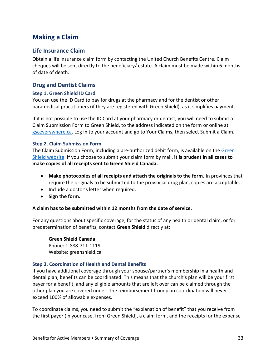# <span id="page-32-0"></span>**Making a Claim**

#### <span id="page-32-1"></span>**Life Insurance Claim**

Obtain a life insurance claim form by contacting the United Church Benefits Centre. Claim cheques will be sent directly to the beneficiary/ estate. A claim must be made within 6 months of date of death.

#### <span id="page-32-2"></span>**Drug and Dentist Claims**

#### <span id="page-32-3"></span>**Step 1. Green Shield ID Card**

You can use the ID Card to pay for drugs at the pharmacy and for the dentist or other paramedical practitioners (if they are registered with Green Shield), as it simplifies payment.

If it is not possible to use the ID Card at your pharmacy or dentist, you will need to submit a Claim Submission Form to Green Shield, to the address indicated on the form or online at [gsceverywhere.ca.](http://gsceverywhere.ca/) Log in to your account and go to Your Claims, then select Submit a Claim.

#### <span id="page-32-4"></span>**Step 2. Claim Submission Form**

The Claim Submission Form, including a pre-authorized debit form, is available on the Green [Shield website.](https://www.greenshield.ca/en-ca/) If you choose to submit your claim form by mail, **it is prudent in all cases to make copies of all receipts sent to Green Shield Canada.**

- **Make photocopies of all receipts and attach the originals to the form.** In provinces that require the originals to be submitted to the provincial drug plan, copies are acceptable.
- Include a doctor's letter when required.
- **Sign the form.**

#### **A claim has to be submitted within 12 months from the date of service.**

For any questions about specific coverage, for the status of any health or dental claim, or for predetermination of benefits, contact **Green Shield** directly at:

**Green Shield Canada** Phone: 1-888-711-1119 Website: greenshield.ca

#### <span id="page-32-5"></span>**Step 3. Coordination of Health and Dental Benefits**

If you have additional coverage through your spouse/partner's membership in a health and dental plan, benefits can be coordinated. This means that the church's plan will be your first payer for a benefit, and any eligible amounts that are left over can be claimed through the other plan you are covered under. The reimbursement from plan coordination will never exceed 100% of allowable expenses.

To coordinate claims, you need to submit the "explanation of benefit" that you receive from the first payer (in your case, from Green Shield), a claim form, and the receipts for the expense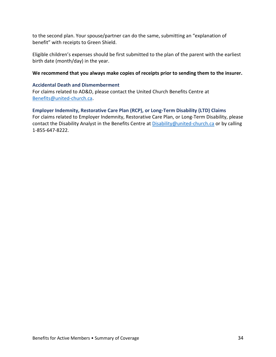to the second plan. Your spouse/partner can do the same, submitting an "explanation of benefit" with receipts to Green Shield.

Eligible children's expenses should be first submitted to the plan of the parent with the earliest birth date (month/day) in the year.

#### **We recommend that you always make copies of receipts prior to sending them to the insurer.**

#### <span id="page-33-0"></span>**Accidental Death and Dismemberment**

For claims related to AD&D, please contact the United Church Benefits Centre at [Benefits@united-church.ca.](mailto:Benefits@united-church.ca)

#### <span id="page-33-1"></span>**Employer Indemnity, Restorative Care Plan (RCP), or Long-Term Disability (LTD) Claims**

For claims related to Employer Indemnity, Restorative Care Plan, or Long-Term Disability, please contact the Disability Analyst in the Benefits Centre a[t Disability@united-church.ca](mailto:Disability@united-church.ca) or by calling 1-855-647-8222.